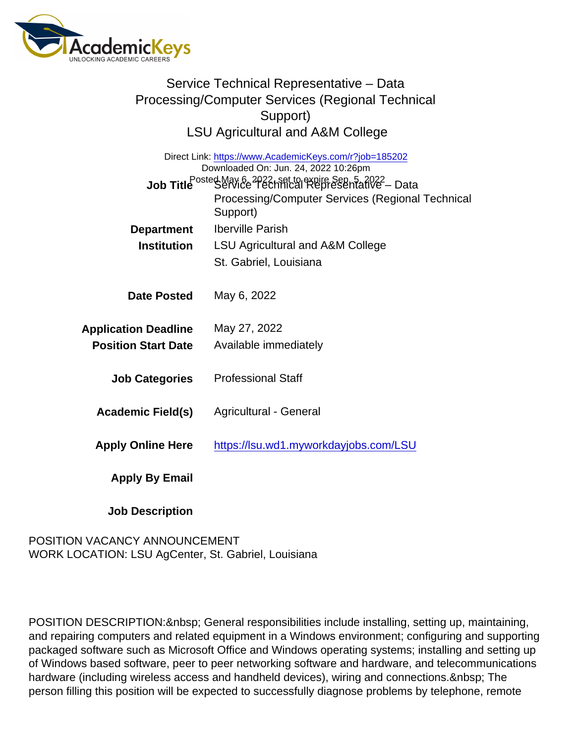| Service Technical Representative - Data<br>Processing/Computer Services (Regional Technical<br>Support)<br><b>LSU Agricultural and A&amp;M College</b> |                                                                                                                                                                                                                                  |
|--------------------------------------------------------------------------------------------------------------------------------------------------------|----------------------------------------------------------------------------------------------------------------------------------------------------------------------------------------------------------------------------------|
|                                                                                                                                                        | Direct Link: https://www.AcademicKeys.com/r?job=185202<br>Downloaded On: Jun. 24, 2022 10:26pm<br>Job Title Posted May 6 2922, set to expire Sep 5 af 022 - Data<br>Processing/Computer Services (Regional Technical<br>Support) |
| Department                                                                                                                                             | <b>Iberville Parish</b>                                                                                                                                                                                                          |
| Institution                                                                                                                                            | <b>LSU Agricultural and A&amp;M College</b>                                                                                                                                                                                      |
|                                                                                                                                                        | St. Gabriel, Louisiana                                                                                                                                                                                                           |
| Date Posted<br><b>Application Deadline</b><br><b>Position Start Date</b>                                                                               | May 6, 2022<br>May 27, 2022<br>Available immediately                                                                                                                                                                             |
| <b>Job Categories</b>                                                                                                                                  | <b>Professional Staff</b>                                                                                                                                                                                                        |
| Academic Field(s)                                                                                                                                      | Agricultural - General                                                                                                                                                                                                           |
| <b>Apply Online Here</b>                                                                                                                               | https://lsu.wd1.myworkdayjobs.com/LSU                                                                                                                                                                                            |
| Apply By Email                                                                                                                                         |                                                                                                                                                                                                                                  |
| <b>Job Description</b>                                                                                                                                 |                                                                                                                                                                                                                                  |

## POSITION VACANCY ANNOUNCEMENT WORK LOCATION: LSU AgCenter, St. Gabriel, Louisiana

POSITION DESCRIPTION: & nbsp; General responsibilities include installing, setting up, maintaining, and repairing computers and related equipment in a Windows environment; configuring and supporting packaged software such as Microsoft Office and Windows operating systems; installing and setting up of Windows based software, peer to peer networking software and hardware, and telecommunications hardware (including wireless access and handheld devices), wiring and connections. The person filling this position will be expected to successfully diagnose problems by telephone, remote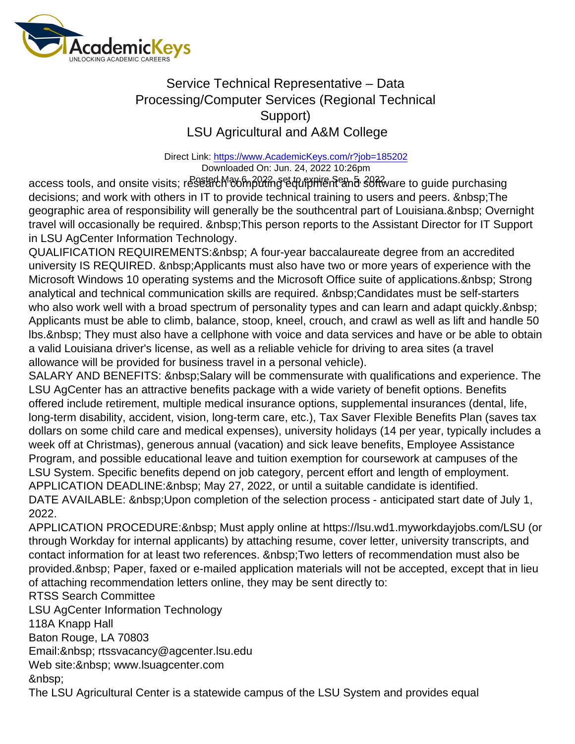## Service Technical Representative – Data Processing/Computer Services (Regional Technical Support) LSU Agricultural and A&M College

Direct Link: <https://www.AcademicKeys.com/r?job=185202> Downloaded On: Jun. 24, 2022 10:26pm

access tools, and onsite visits; research ଉଧ୍ୟାନ୍ତି ଜୟାତ କରିଥିଲେ । ଏହା ବି ସେମ୍ବୋ ସେମ୍ବୋ ସେ guide purchasing decisions; and work with others in IT to provide technical training to users and peers. The geographic area of responsibility will generally be the southcentral part of Louisiana. & nbsp; Overnight travel will occasionally be required. This person reports to the Assistant Director for IT Support in LSU AgCenter Information Technology.

QUALIFICATION REQUIREMENTS: & nbsp; A four-year baccalaureate degree from an accredited university IS REQUIRED. & nbsp; Applicants must also have two or more years of experience with the Microsoft Windows 10 operating systems and the Microsoft Office suite of applications. & nbsp: Strong analytical and technical communication skills are required. Candidates must be self-starters who also work well with a broad spectrum of personality types and can learn and adapt quickly. Applicants must be able to climb, balance, stoop, kneel, crouch, and crawl as well as lift and handle 50 lbs. & nbsp; They must also have a cellphone with voice and data services and have or be able to obtain a valid Louisiana driver's license, as well as a reliable vehicle for driving to area sites (a travel allowance will be provided for business travel in a personal vehicle).

SALARY AND BENEFITS: Salary will be commensurate with qualifications and experience. The LSU AgCenter has an attractive benefits package with a wide variety of benefit options. Benefits offered include retirement, multiple medical insurance options, supplemental insurances (dental, life, long-term disability, accident, vision, long-term care, etc.), Tax Saver Flexible Benefits Plan (saves tax dollars on some child care and medical expenses), university holidays (14 per year, typically includes a week off at Christmas), generous annual (vacation) and sick leave benefits, Employee Assistance Program, and possible educational leave and tuition exemption for coursework at campuses of the LSU System. Specific benefits depend on job category, percent effort and length of employment. APPLICATION DEADLINE: & nbsp; May 27, 2022, or until a suitable candidate is identified. DATE AVAILABLE: & nbsp; Upon completion of the selection process - anticipated start date of July 1, 2022.

APPLICATION PROCEDURE: Must apply online at https://lsu.wd1.myworkdayjobs.com/LSU (or through Workday for internal applicants) by attaching resume, cover letter, university transcripts, and contact information for at least two references. Two letters of recommendation must also be provided. & nbsp; Paper, faxed or e-mailed application materials will not be accepted, except that in lieu of attaching recommendation letters online, they may be sent directly to:

RTSS Search Committee

LSU AgCenter Information Technology 118A Knapp Hall Baton Rouge, LA 70803 Email: & nbsp; rtssvacancy@agcenter.lsu.edu Web site: & nbsp; www.lsuagcenter.com

&nbsp:

The LSU Agricultural Center is a statewide campus of the LSU System and provides equal